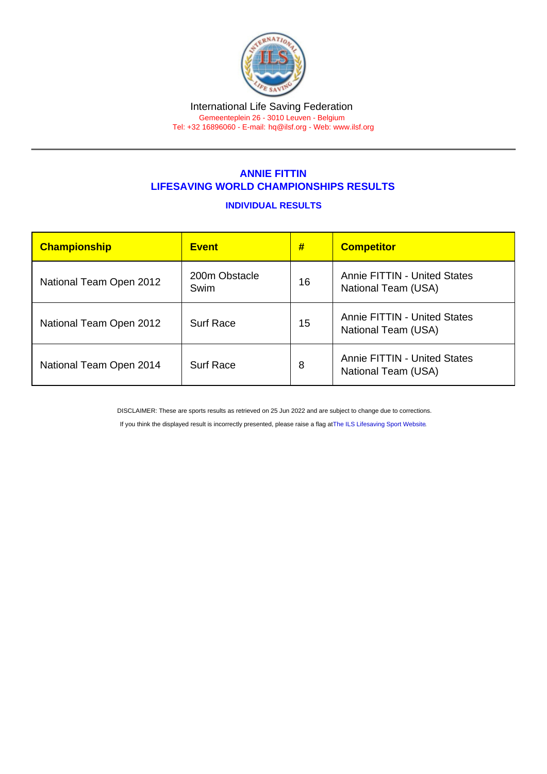#### International Life Saving Federation Gemeenteplein 26 - 3010 Leuven - Belgium

Tel: +32 16896060 - E-mail: [hq@ilsf.org](mailto:hq@ilsf.org) - Web: [www.ilsf.org](https://www.ilsf.org)

## ANNIE FITTIN LIFESAVING WORLD CHAMPIONSHIPS RESULTS

## INDIVIDUAL RESULTS

| Championship            | <b>Event</b>          | #  | <b>Competitor</b>                                          |
|-------------------------|-----------------------|----|------------------------------------------------------------|
| National Team Open 2012 | 200m Obstacle<br>Swim | 16 | <b>Annie FITTIN - United States</b><br>National Team (USA) |
| National Team Open 2012 | <b>Surf Race</b>      | 15 | <b>Annie FITTIN - United States</b><br>National Team (USA) |
| National Team Open 2014 | <b>Surf Race</b>      | 8  | <b>Annie FITTIN - United States</b><br>National Team (USA) |

DISCLAIMER: These are sports results as retrieved on 25 Jun 2022 and are subject to change due to corrections.

If you think the displayed result is incorrectly presented, please raise a flag at [The ILS Lifesaving Sport Website.](https://sport.ilsf.org)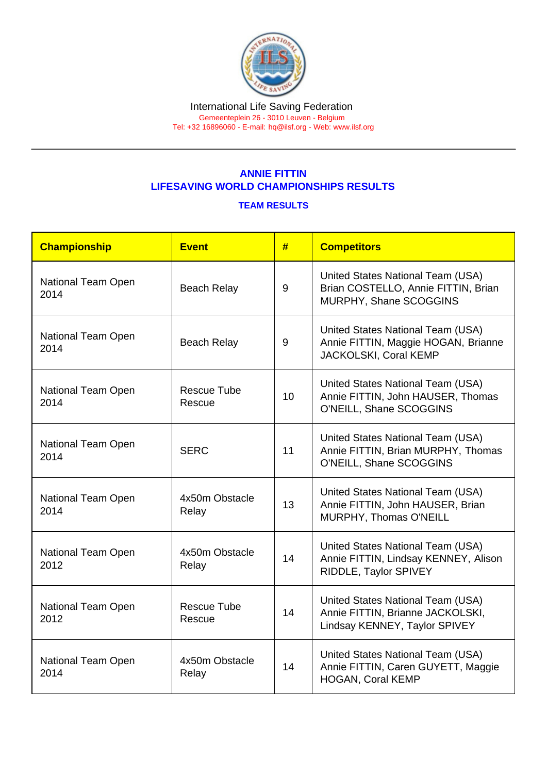### International Life Saving Federation Gemeenteplein 26 - 3010 Leuven - Belgium

Tel: +32 16896060 - E-mail: [hq@ilsf.org](mailto:hq@ilsf.org) - Web: [www.ilsf.org](https://www.ilsf.org)

# ANNIE FITTIN LIFESAVING WORLD CHAMPIONSHIPS RESULTS

## TEAM RESULTS

| Championship               | Event                        | #  | <b>Competitors</b>                                                                                     |
|----------------------------|------------------------------|----|--------------------------------------------------------------------------------------------------------|
| National Team Open<br>2014 | <b>Beach Relay</b>           | 9  | United States National Team (USA)<br>Brian COSTELLO, Annie FITTIN, Brian<br>MURPHY, Shane SCOGGINS     |
| National Team Open<br>2014 | <b>Beach Relay</b>           | 9  | United States National Team (USA)<br>Annie FITTIN, Maggie HOGAN, Brianne<br>JACKOLSKI, Coral KEMP      |
| National Team Open<br>2014 | <b>Rescue Tube</b><br>Rescue | 10 | United States National Team (USA)<br>Annie FITTIN, John HAUSER, Thomas<br>O'NEILL, Shane SCOGGINS      |
| National Team Open<br>2014 | <b>SERC</b>                  | 11 | United States National Team (USA)<br>Annie FITTIN, Brian MURPHY, Thomas<br>O'NEILL, Shane SCOGGINS     |
| National Team Open<br>2014 | 4x50m Obstacle<br>Relay      | 13 | United States National Team (USA)<br>Annie FITTIN, John HAUSER, Brian<br>MURPHY, Thomas O'NEILL        |
| National Team Open<br>2012 | 4x50m Obstacle<br>Relay      | 14 | United States National Team (USA)<br>Annie FITTIN, Lindsay KENNEY, Alison<br>RIDDLE, Taylor SPIVEY     |
| National Team Open<br>2012 | <b>Rescue Tube</b><br>Rescue | 14 | United States National Team (USA)<br>Annie FITTIN, Brianne JACKOLSKI,<br>Lindsay KENNEY, Taylor SPIVEY |
| National Team Open<br>2014 | 4x50m Obstacle<br>Relay      | 14 | United States National Team (USA)<br>Annie FITTIN, Caren GUYETT, Maggie<br><b>HOGAN, Coral KEMP</b>    |